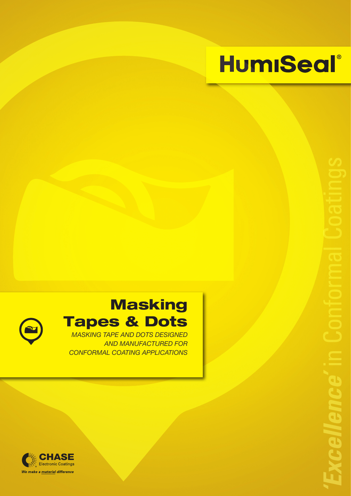# HumiSeal®

## **Masking** Tapes & Dots

*MASKING TAPE AND DOTS DESIGNED AND MANUFACTURED FOR CONFORMAL COATING APPLICATIONS*